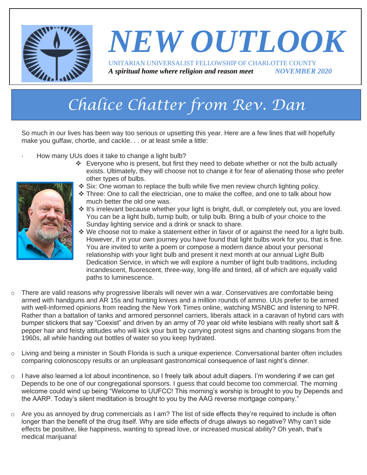

### *NEW OUTLOOK* UNITARIAN UNIVERSALIST FELLOWSHIP OF CHARLOTTE COUNTY *A spiritual home where religion and reason meet NOVEMBER 2020*

# *Chalice Chatter from Rev. Dan*

So much in our lives has been way too serious or upsetting this year. Here are a few lines that will hopefully make you guffaw, chortle, and cackle. . . or at least smile a little:

- How many UUs does it take to change a light bulb?
	- ❖ Everyone who is present, but first they need to debate whether or not the bulb actually exists. Ultimately, they will choose not to change it for fear of alienating those who prefer other types of bulbs.
	- ❖ Six: One woman to replace the bulb while five men review church lighting policy.
	- ❖ Three: One to call the electrician, one to make the coffee, and one to talk about how much better the old one was.
	- ❖ It's irrelevant because whether your light is bright, dull, or completely out, you are loved. You can be a light bulb, turnip bulb, or tulip bulb. Bring a bulb of your choice to the Sunday lighting service and a drink or snack to share.
	- ❖ We choose not to make a statement either in favor of or against the need for a light bulb. However, if in your own journey you have found that light bulbs work for you, that is fine. You are invited to write a poem or compose a modern dance about your personal relationship with your light bulb and present it next month at our annual Light Bulb Dedication Service, in which we will explore a number of light bulb traditions, including incandescent, fluorescent, three-way, long-life and tinted, all of which are equally valid paths to luminescence.
- $\circ$  There are valid reasons why progressive liberals will never win a war. Conservatives are comfortable being armed with handguns and AR 15s and hunting knives and a million rounds of ammo. UUs prefer to be armed with well-informed opinions from reading the New York Times online, watching MSNBC and listening to NPR. Rather than a battalion of tanks and armored personnel carriers, liberals attack in a caravan of hybrid cars with bumper stickers that say "Coexist" and driven by an army of 70 year old white lesbians with really short salt & pepper hair and feisty attitudes who will kick your butt by carrying protest signs and chanting slogans from the 1960s, all while handing out bottles of water so you keep hydrated.
- o Living and being a minister in South Florida is such a unique experience. Conversational banter often includes comparing colonoscopy results or an unpleasant gastronomical consequence of last night's dinner.
- o I have also learned a lot about incontinence, so I freely talk about adult diapers. I'm wondering if we can get Depends to be one of our congregational sponsors. I guess that could become too commercial. The morning welcome could wind up being "Welcome to UUFCC! This morning's worship is brought to you by Depends and the AARP. Today's silent meditation is brought to you by the AAG reverse mortgage company."
- $\circ$  Are you as annoyed by drug commercials as I am? The list of side effects they're required to include is often longer than the benefit of the drug itself. Why are side effects of drugs always so negative? Why can't side effects be positive, like happiness, wanting to spread love, or increased musical ability? Oh yeah, that's medical marijuana!

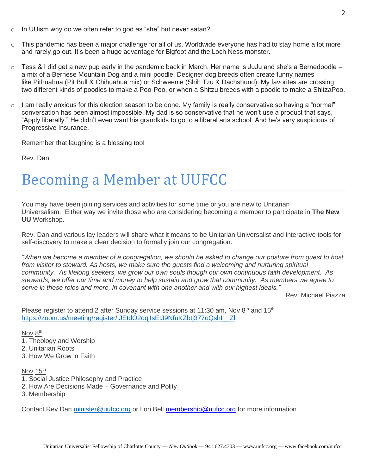- o In UUism why do we often refer to god as "she" but never satan?
- o This pandemic has been a major challenge for all of us. Worldwide everyone has had to stay home a lot more and rarely go out. It's been a huge advantage for Bigfoot and the Loch Ness monster.
- $\circ$  Tess & I did get a new pup early in the pandemic back in March. Her name is JuJu and she's a Bernedoodle a mix of a Bernese Mountain Dog and a mini poodle. Designer dog breeds often create funny names like Pithuahua (Pit Bull & Chihuahua mix) or Schweenie (Shih Tzu & Dachshund). My favorites are crossing two different kinds of poodles to make a Poo-Poo, or when a Shitzu breeds with a poodle to make a ShitzaPoo.
- $\circ$  I am really anxious for this election season to be done. My family is really conservative so having a "normal" conversation has been almost impossible. My dad is so conservative that he won't use a product that says, "Apply liberally." He didn't even want his grandkids to go to a liberal arts school. And he's very suspicious of Progressive Insurance.

Remember that laughing is a blessing too!

Rev. Dan

### Becoming a Member at UUFCC

You may have been joining services and activities for some time or you are new to Unitarian Universalism. Either way we invite those who are considering becoming a member to participate in **The New UU** Workshop.

Rev. Dan and various lay leaders will share what it means to be Unitarian Universalist and interactive tools for self-discovery to make a clear decision to formally join our congregation.

*"When we become a member of a congregation, we should be asked to change our posture from guest to host, from visitor to steward. As hosts, we make sure the guests find a welcoming and nurturing spiritual community. As lifelong seekers, we grow our own souls though our own continuous faith development. As stewards, we offer our time and money to help sustain and grow that community. As members we agree to serve in these roles and more, in covenant with one another and with our highest ideals."* 

Rev. Michael Piazza

Please register to attend 2 after Sunday service sessions at 11:30 am, Nov 8<sup>th</sup> and 15<sup>th</sup> https://zoom.us/meeting/register/tJEtdO2gqilsEtJ9NfuKZbti377oQshl Zl

#### Nov 8<sup>th</sup>

- 1. Theology and Worship
- 2. Unitarian Roots
- 3. How We Grow in Faith

Nov 15<sup>th</sup>

- 1. Social Justice Philosophy and Practice
- 2. How Are Decisions Made Governance and Polity
- 3. Membership

Contact Rev Dan [minister@uufcc.org](mailto:minister@uufcc.org) or Lori Bell [membership@uufcc.org](mailto:membership@uufcc.org) for more information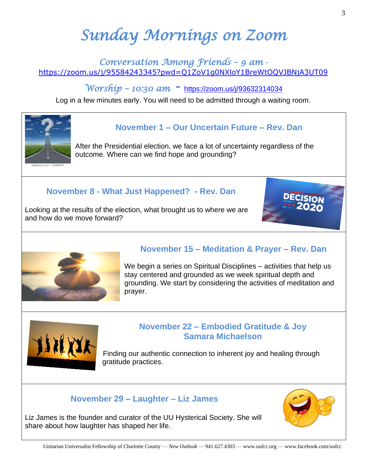# *Sunday Mornings on Zoom*

#### *Conversation Among Friends – 9 am*  <https://zoom.us/j/95584243345?pwd=Q1ZoV1g0NXloY1BreWtOQVJBNjA3UT09>

*Worship – 10:30 am -* <https://zoom.us/j/93632314034>

Log in a few minutes early. You will need to be admitted through a waiting room.



### **November 1 – Our Uncertain Future – Rev. Dan**

After the Presidential election, we face a lot of uncertainty regardless of the outcome. Where can we find hope and grounding?

#### **November 8 - What Just Happened? - Rev. Dan**

Looking at the results of the election, what brought us to where we are and how do we move forward?



### **November 15 – Meditation & Prayer – Rev. Dan**

We begin a series on Spiritual Disciplines – activities that help us stay centered and grounded as we week spiritual depth and grounding. We start by considering the activities of meditation and prayer.



#### **November 22 – Embodied Gratitude & Joy Samara Michaelson**

Finding our authentic connection to inherent joy and healing through gratitude practices.

### **November 29 – Laughter – Liz James**

Liz James is the founder and curator of the UU Hysterical Society. She will share about how laughter has shaped her life.

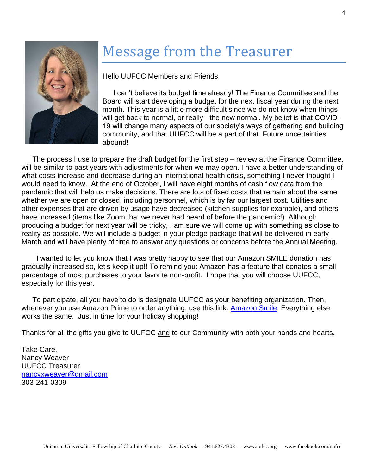

### Message from the Treasurer

Hello UUFCC Members and Friends,

I can't believe its budget time already! The Finance Committee and the Board will start developing a budget for the next fiscal year during the next month. This year is a little more difficult since we do not know when things will get back to normal, or really - the new normal. My belief is that COVID-19 will change many aspects of our society's ways of gathering and building community, and that UUFCC will be a part of that. Future uncertainties abound!

The process I use to prepare the draft budget for the first step – review at the Finance Committee, will be similar to past years with adjustments for when we may open. I have a better understanding of what costs increase and decrease during an international health crisis, something I never thought I would need to know. At the end of October, I will have eight months of cash flow data from the pandemic that will help us make decisions. There are lots of fixed costs that remain about the same whether we are open or closed, including personnel, which is by far our largest cost. Utilities and other expenses that are driven by usage have decreased (kitchen supplies for example), and others have increased (items like Zoom that we never had heard of before the pandemic!). Although producing a budget for next year will be tricky, I am sure we will come up with something as close to reality as possible. We will include a budget in your pledge package that will be delivered in early March and will have plenty of time to answer any questions or concerns before the Annual Meeting.

 I wanted to let you know that I was pretty happy to see that our Amazon SMILE donation has gradually increased so, let's keep it up!! To remind you: Amazon has a feature that donates a small percentage of most purchases to your favorite non-profit. I hope that you will choose UUFCC, especially for this year.

To participate, all you have to do is designate UUFCC as your benefiting organization. Then, whenever you use Amazon Prime to order anything, use this link: [Amazon Smile.](https://smile.amazon.com/gp/chpf/homepage?orig=%2F) Everything else works the same. Just in time for your holiday shopping!

Thanks for all the gifts you give to UUFCC and to our Community with both your hands and hearts.

Take Care, Nancy Weaver UUFCC Treasurer [nancyxweaver@gmail.com](mailto:nancyxweaver@gmail.com) 303-241-0309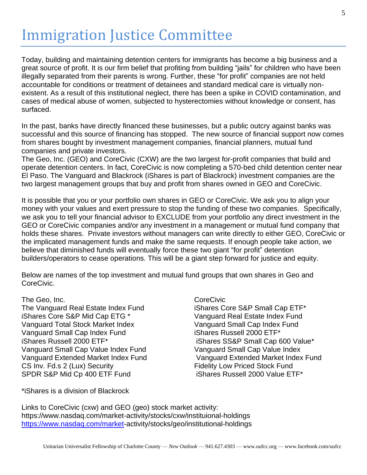### Immigration Justice Committee

Today, building and maintaining detention centers for immigrants has become a big business and a great source of profit. It is our firm belief that profiting from building "jails" for children who have been illegally separated from their parents is wrong. Further, these "for profit" companies are not held accountable for conditions or treatment of detainees and standard medical care is virtually nonexistent. As a result of this institutional neglect, there has been a spike in COVID contamination, and cases of medical abuse of women, subjected to hysterectomies without knowledge or consent, has surfaced.

In the past, banks have directly financed these businesses, but a public outcry against banks was successful and this source of financing has stopped. The new source of financial support now comes from shares bought by investment management companies, financial planners, mutual fund companies and private investors.

The Geo, Inc. (GEO) and CoreCivic (CXW) are the two largest for-profit companies that build and operate detention centers. In fact, CoreCivic is now completing a 570-bed child detention center near El Paso. The Vanguard and Blackrock (iShares is part of Blackrock) investment companies are the two largest management groups that buy and profit from shares owned in GEO and CoreCivic.

It is possible that you or your portfolio own shares in GEO or CoreCivic. We ask you to align your money with your values and exert pressure to stop the funding of these two companies. Specifically, we ask you to tell your financial advisor to EXCLUDE from your portfolio any direct investment in the GEO or CoreCivic companies and/or any investment in a management or mutual fund company that holds these shares. Private investors without managers can write directly to either GEO, CoreCivic or the implicated management funds and make the same requests. If enough people take action, we believe that diminished funds will eventually force these two giant "for profit" detention builders/operators to cease operations. This will be a giant step forward for justice and equity.

Below are names of the top investment and mutual fund groups that own shares in Geo and CoreCivic.

The Geo, Inc. **Contact Contact Contact Contact Contact Contact Contact Contact Contact Contact Contact Contact Contact Contact Contact Contact Contact Contact Contact Contact Contact Contact Contact Contact Contact Contact** The Vanguard Real Estate Index Fund iShares Core S&P Small Cap ETF\* iShares Core S&P Mid Cap ETG \* Vanguard Real Estate Index Fund Vanguard Total Stock Market Index Vanguard Small Cap Index Fund Vanguard Small Cap Index Fund iShares Russell 2000 ETF\* iShares Russell 2000 ETF\* iShares SS&P Small Cap 600 Value\* Vanguard Small Cap Value Index Fund Vanguard Small Cap Value Index CS Inv. Fd.s 2 (Lux) Security Fidelity Low Priced Stock Fund SPDR S&P Mid Cp 400 ETF Fund iShares Russell 2000 Value ETF\*

Vanguard Extended Market Index Fund Vanguard Extended Market Index Fund

\*iShares is a division of Blackrock

Links to CoreCivic (cxw) and GEO (geo) stock market activity: https://www.nasdaq.com/market-activity/stocks/cxw/instituional-holdings [https://www.nasdaq.com/market-](https://www.nasdaq.com/market)activity/stocks/geo/institutional-holdings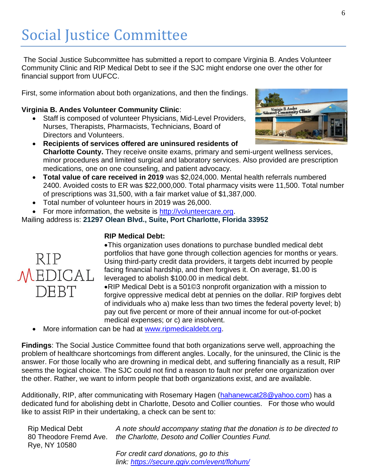## Social Justice Committee

The Social Justice Subcommittee has submitted a report to compare Virginia B. Andes Volunteer Community Clinic and RIP Medical Debt to see if the SJC might endorse one over the other for financial support from UUFCC.

First, some information about both organizations, and then the findings.

#### **Virginia B. Andes Volunteer Community Clinic**:

- Staff is composed of volunteer Physicians, Mid-Level Providers, Nurses, Therapists, Pharmacists, Technicians, Board of Directors and Volunteers.
- **Recipients of services offered are uninsured residents of Charlotte County.** They receive onsite exams, primary and semi-urgent wellness services, minor procedures and limited surgical and laboratory services. Also provided are prescription medications, one on one counseling, and patient advocacy.
- **Total value of care received in 2019** was \$2,024,000. Mental health referrals numbered 2400. Avoided costs to ER was \$22,000,000. Total pharmacy visits were 11,500. Total number of prescriptions was 31,500, with a fair market value of \$1,387,000.
- Total number of volunteer hours in 2019 was 26,000.
- For more information, the website is [http://volunteercare.org.](http://info@volunteercare.org/)

Mailing address is: **21297 Olean Blvd., Suite, Port Charlotte, Florida 33952**

#### **RIP Medical Debt:**

•This organization uses donations to purchase bundled medical debt portfolios that have gone through collection agencies for months or years. Using third-party credit data providers, it targets debt incurred by people facing financial hardship, and then forgives it. On average, \$1.00 is leveraged to abolish \$100.00 in medical debt.

•RIP Medical Debt is a 501©3 nonprofit organization with a mission to forgive oppressive medical debt at pennies on the dollar. RIP forgives debt of individuals who a) make less than two times the federal poverty level; b) pay out five percent or more of their annual income for out-of-pocket medical expenses; or c) are insolvent.

More information can be had at [www.ripmedicaldebt.org.](http://www.ripmedicaldebt.org/)

**Findings**: The Social Justice Committee found that both organizations serve well, approaching the problem of healthcare shortcomings from different angles. Locally, for the uninsured, the Clinic is the answer. For those locally who are drowning in medical debt, and suffering financially as a result, RIP seems the logical choice. The SJC could not find a reason to fault nor prefer one organization over the other. Rather, we want to inform people that both organizations exist, and are available.

Additionally, RIP, after communicating with Rosemary Hagen [\(hahanewcat28@yahoo.com\)](mailto:hahanewcat28@yahoo.com) has a dedicated fund for abolishing debt in Charlotte, Desoto and Collier counties. For those who would like to assist RIP in their undertaking, a check can be sent to:

Unitarian Universalist Fellowship of Charlotte County — *New Outlook* — 941.627.4303 — www.uufcc.org — www.facebook.com/uufcc Rip Medical Debt 80 Theodore Fremd Ave. Rye, NY 10580

*A note should accompany stating that the donation is to be directed to the Charlotte, Desoto and Collier Counties Fund.*

*For credit card donations, go to this link: <https://secure.qgiv.com/event/flohum/>*



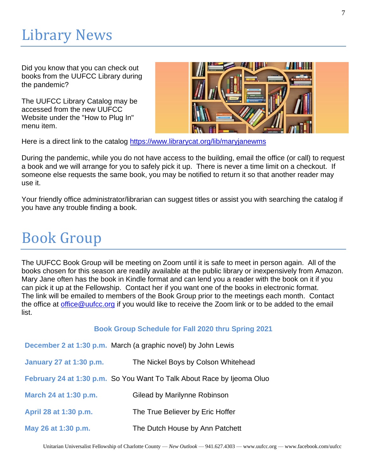## Library News

Did you know that you can check out books from the UUFCC Library during the pandemic?

The UUFCC Library Catalog may be accessed from the new UUFCC Website under the "How to Plug In" menu item.



Here is a direct link to the catalog [https://www.librarycat.org/lib/maryjanewms](http://r20.rs6.net/tn.jsp?f=001h2QlB7h-nwrR2C8xNPBR0iF3GM7gnoxp4YlFwqj8qafuJylrTturc8GYzZ_Th1t3jbJK8Nm8W_KHJ-fJI-lHJX99mJkwxJPzEQRBGfNcbkwp7crLhkpYaazALExRx40VkBTuzY5Ag7ZTWDHCS2wWvYe096FlEaY_FKmmKUUXdXwfVry8mnsRsAH35uyU3ZKdS5-fYD5vrGs=&c=UoEJc8l65SsgVOKD25LLnTlAJcXZiXxGlBaoy9qi1MeZ1pnMNO58kw==&ch=rcMQ0oTTCT16urjJiCDTj8qw7wGNjsZ5GDScsvna9_XHoklODGwwyA==)

During the pandemic, while you do not have access to the building, email the office (or call) to request a book and we will arrange for you to safely pick it up. There is never a time limit on a checkout. If someone else requests the same book, you may be notified to return it so that another reader may use it.

Your friendly office administrator/librarian can suggest titles or assist you with searching the catalog if you have any trouble finding a book.

### Book Group

The UUFCC Book Group will be meeting on Zoom until it is safe to meet in person again. All of the books chosen for this season are readily available at the public library or inexpensively from Amazon. Mary Jane often has the book in Kindle format and can lend you a reader with the book on it if you can pick it up at the Fellowship. Contact her if you want one of the books in electronic format. The link will be emailed to members of the Book Group prior to the meetings each month. Contact the office at [office@uufcc.org](mailto:office@uufcc.org) if you would like to receive the Zoom link or to be added to the email list.

#### **Book Group Schedule for Fall 2020 thru Spring 2021**

|                         | December 2 at 1:30 p.m. March (a graphic novel) by John Lewis          |
|-------------------------|------------------------------------------------------------------------|
| January 27 at 1:30 p.m. | The Nickel Boys by Colson Whitehead                                    |
|                         | February 24 at 1:30 p.m. So You Want To Talk About Race by Ijeoma Oluo |
| March 24 at 1:30 p.m.   | Gilead by Marilynne Robinson                                           |
| April 28 at 1:30 p.m.   | The True Believer by Eric Hoffer                                       |
| May 26 at 1:30 p.m.     | The Dutch House by Ann Patchett                                        |